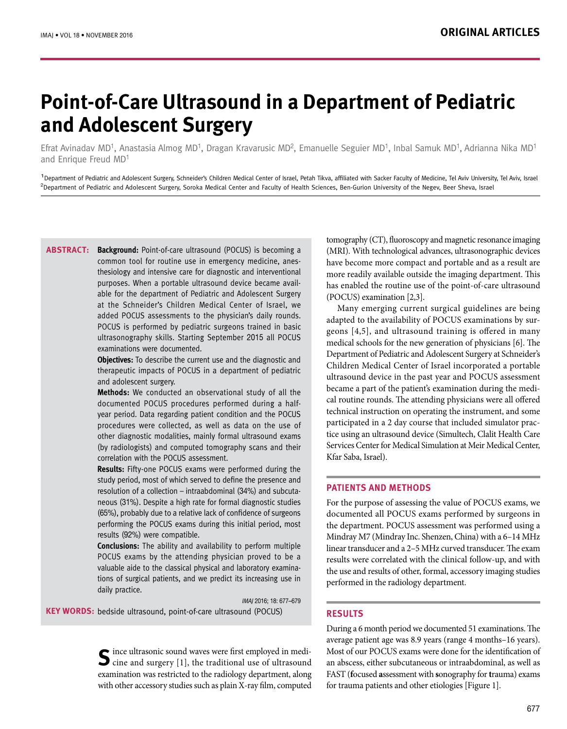# **Point-of-Care Ultrasound in a Department of Pediatric and Adolescent Surgery**

Efrat Avinadav MD<sup>1</sup>, Anastasia Almog MD<sup>1</sup>, Dragan Kravarusic MD<sup>2</sup>, Emanuelle Seguier MD<sup>1</sup>, Inbal Samuk MD<sup>1</sup>, Adrianna Nika MD<sup>1</sup> and Enrique Freud MD<sup>1</sup>

<sup>1</sup> Department of Pediatric and Adolescent Surgery, Schneider's Children Medical Center of Israel, Petah Tikva, affiliated with Sacker Faculty of Medicine, Tel Aviv University, Tel Aviv, Israel <sup>2</sup>Department of Pediatric and Adolescent Surgery, Soroka Medical Center and Faculty of Health Sciences, Ben-Gurion University of the Negev, Beer Sheva, Israel

**ABSTRACT:** Background: Point-of-care ultrasound (POCUS) is becoming a common tool for routine use in emergency medicine, anesthesiology and intensive care for diagnostic and interventional purposes. When a portable ultrasound device became available for the department of Pediatric and Adolescent Surgery at the Schneider's Children Medical Center of Israel, we added POCUS assessments to the physician's daily rounds. POCUS is performed by pediatric surgeons trained in basic ultrasonography skills. Starting September 2015 all POCUS examinations were documented.

> **Objectives:** To describe the current use and the diagnostic and therapeutic impacts of POCUS in a department of pediatric and adolescent surgery.

> **Methods:** We conducted an observational study of all the documented POCUS procedures performed during a halfyear period. Data regarding patient condition and the POCUS procedures were collected, as well as data on the use of other diagnostic modalities, mainly formal ultrasound exams (by radiologists) and computed tomography scans and their correlation with the POCUS assessment.

> **Results:** Fifty-one POCUS exams were performed during the study period, most of which served to define the presence and resolution of a collection – intraabdominal (34%) and subcutaneous (31%). Despite a high rate for formal diagnostic studies (65%), probably due to a relative lack of confidence of surgeons performing the POCUS exams during this initial period, most results (92%) were compatible.

> **Conclusions:** The ability and availability to perform multiple POCUS exams by the attending physician proved to be a valuable aide to the classical physical and laboratory examinations of surgical patients, and we predict its increasing use in daily practice.

 IMAJ 2016; 18: 677–679 **KEY WORDS:** bedside ultrasound, point-of-care ultrasound (POCUS)

> **S**ince ultrasonic sound waves were first employed in medi- $\sum$  cine and surgery [1], the traditional use of ultrasound examination was restricted to the radiology department, along with other accessory studies such as plain X-ray film, computed

tomography (CT), fluoroscopy and magnetic resonance imaging (MRI). With technological advances, ultrasonographic devices have become more compact and portable and as a result are more readily available outside the imaging department. This has enabled the routine use of the point-of-care ultrasound (POCUS) examination [2,3].

Many emerging current surgical guidelines are being adapted to the availability of POCUS examinations by surgeons [4,5], and ultrasound training is offered in many medical schools for the new generation of physicians [6]. The Department of Pediatric and Adolescent Surgery at Schneider's Children Medical Center of Israel incorporated a portable ultrasound device in the past year and POCUS assessment became a part of the patient's examination during the medical routine rounds. The attending physicians were all offered technical instruction on operating the instrument, and some participated in a 2 day course that included simulator practice using an ultrasound device (Simultech, Clalit Health Care Services Center for Medical Simulation at Meir Medical Center, Kfar Saba, Israel).

# **PATIENTS AND METHODS**

For the purpose of assessing the value of POCUS exams, we documented all POCUS exams performed by surgeons in the department. POCUS assessment was performed using a Mindray M7 (Mindray Inc. Shenzen, China) with a 6–14 MHz linear transducer and a 2–5 MHz curved transducer. The exam results were correlated with the clinical follow-up, and with the use and results of other, formal, accessory imaging studies performed in the radiology department.

## **RESULTS**

During a 6 month period we documented 51 examinations. The average patient age was 8.9 years (range 4 months–16 years). Most of our POCUS exams were done for the identification of an abscess, either subcutaneous or intraabdominal, as well as FAST (**f**ocused **a**ssessment with **s**onography for **t**rauma) exams for trauma patients and other etiologies [Figure 1].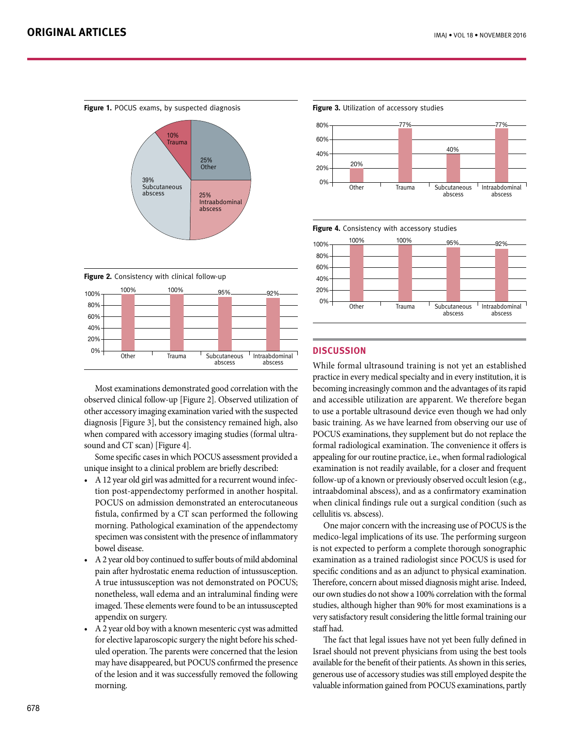





Most examinations demonstrated good correlation with the observed clinical follow-up [Figure 2]. Observed utilization of other accessory imaging examination varied with the suspected diagnosis [Figure 3], but the consistency remained high, also when compared with accessory imaging studies (formal ultrasound and CT scan) [Figure 4].

Some specific cases in which POCUS assessment provided a unique insight to a clinical problem are briefly described:

- • A 12 year old girl was admitted for a recurrent wound infection post-appendectomy performed in another hospital. POCUS on admission demonstrated an enterocutaneous fistula, confirmed by a CT scan performed the following morning. Pathological examination of the appendectomy specimen was consistent with the presence of inflammatory bowel disease.
- • A 2 year old boy continued to suffer bouts of mild abdominal pain after hydrostatic enema reduction of intussusception. A true intussusception was not demonstrated on POCUS; nonetheless, wall edema and an intraluminal finding were imaged. These elements were found to be an intussuscepted appendix on surgery.
- • A 2 year old boy with a known mesenteric cyst was admitted for elective laparoscopic surgery the night before his scheduled operation. The parents were concerned that the lesion may have disappeared, but POCUS confirmed the presence of the lesion and it was successfully removed the following morning.

**Figure 3.** Utilization of accessory studies



**Figure 4.** Consistency with accessory studies



# **DISCUSSION**

While formal ultrasound training is not yet an established practice in every medical specialty and in every institution, it is becoming increasingly common and the advantages of its rapid and accessible utilization are apparent. We therefore began to use a portable ultrasound device even though we had only basic training. As we have learned from observing our use of POCUS examinations, they supplement but do not replace the formal radiological examination. The convenience it offers is appealing for our routine practice, i.e., when formal radiological examination is not readily available, for a closer and frequent follow-up of a known or previously observed occult lesion (e.g., intraabdominal abscess), and as a confirmatory examination when clinical findings rule out a surgical condition (such as cellulitis vs. abscess).

One major concern with the increasing use of POCUS is the medico-legal implications of its use. The performing surgeon is not expected to perform a complete thorough sonographic examination as a trained radiologist since POCUS is used for specific conditions and as an adjunct to physical examination. Therefore, concern about missed diagnosis might arise. Indeed, our own studies do not show a 100% correlation with the formal studies, although higher than 90% for most examinations is a very satisfactory result considering the little formal training our staff had.

The fact that legal issues have not yet been fully defined in Israel should not prevent physicians from using the best tools available for the benefit of their patients. As shown in this series, generous use of accessory studies was still employed despite the valuable information gained from POCUS examinations, partly